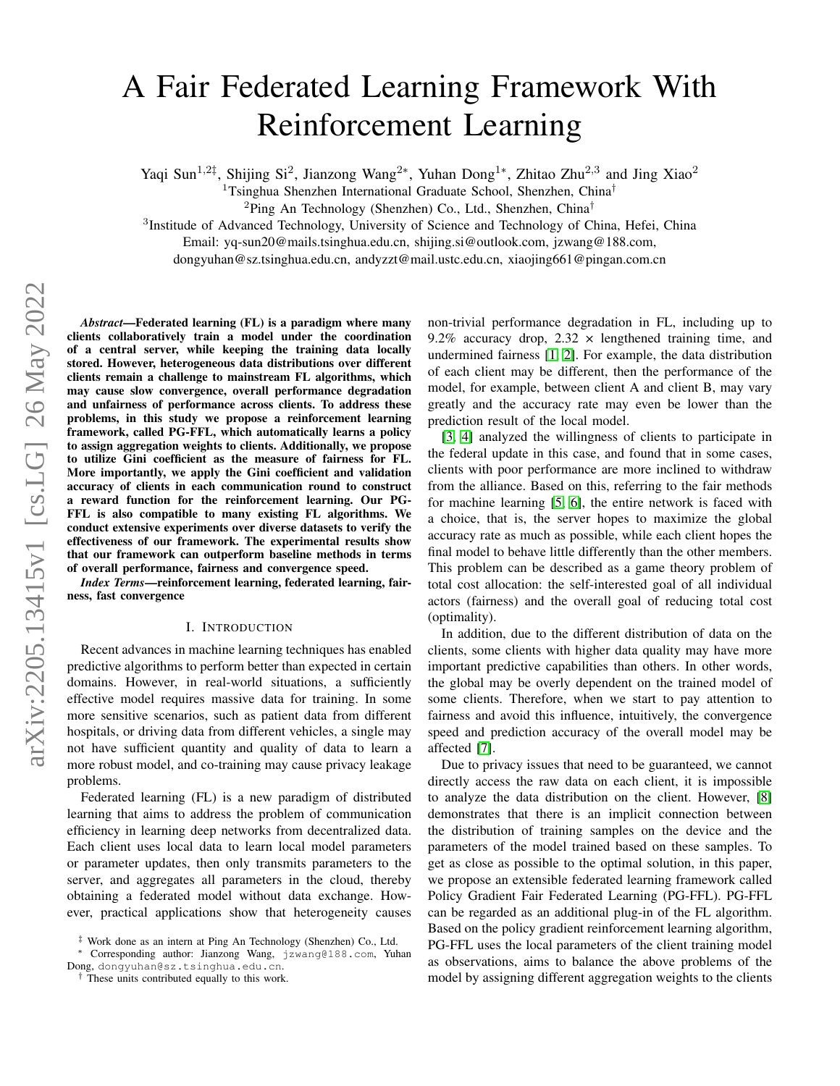# A Fair Federated Learning Framework With Reinforcement Learning

Yaqi Sun<sup>1,2‡</sup>, Shijing Si<sup>2</sup>, Jianzong Wang<sup>2\*</sup>, Yuhan Dong<sup>1\*</sup>, Zhitao Zhu<sup>2,3</sup> and Jing Xiao<sup>2</sup>

<sup>1</sup>Tsinghua Shenzhen International Graduate School, Shenzhen, China<sup>†</sup>

<sup>2</sup>Ping An Technology (Shenzhen) Co., Ltd., Shenzhen, China†

<sup>3</sup>Institude of Advanced Technology, University of Science and Technology of China, Hefei, China

Email: yq-sun20@mails.tsinghua.edu.cn, shijing.si@outlook.com, jzwang@188.com,

dongyuhan@sz.tsinghua.edu.cn, andyzzt@mail.ustc.edu.cn, xiaojing661@pingan.com.cn

*Abstract*—Federated learning (FL) is a paradigm where many clients collaboratively train a model under the coordination of a central server, while keeping the training data locally stored. However, heterogeneous data distributions over different clients remain a challenge to mainstream FL algorithms, which may cause slow convergence, overall performance degradation and unfairness of performance across clients. To address these problems, in this study we propose a reinforcement learning framework, called PG-FFL, which automatically learns a policy to assign aggregation weights to clients. Additionally, we propose to utilize Gini coefficient as the measure of fairness for FL. More importantly, we apply the Gini coefficient and validation accuracy of clients in each communication round to construct a reward function for the reinforcement learning. Our PG-FFL is also compatible to many existing FL algorithms. We conduct extensive experiments over diverse datasets to verify the effectiveness of our framework. The experimental results show that our framework can outperform baseline methods in terms of overall performance, fairness and convergence speed.

*Index Terms*—reinforcement learning, federated learning, fairness, fast convergence

#### I. INTRODUCTION

Recent advances in machine learning techniques has enabled predictive algorithms to perform better than expected in certain domains. However, in real-world situations, a sufficiently effective model requires massive data for training. In some more sensitive scenarios, such as patient data from different hospitals, or driving data from different vehicles, a single may not have sufficient quantity and quality of data to learn a more robust model, and co-training may cause privacy leakage problems.

Federated learning (FL) is a new paradigm of distributed learning that aims to address the problem of communication efficiency in learning deep networks from decentralized data. Each client uses local data to learn local model parameters or parameter updates, then only transmits parameters to the server, and aggregates all parameters in the cloud, thereby obtaining a federated model without data exchange. However, practical applications show that heterogeneity causes non-trivial performance degradation in FL, including up to 9.2% accuracy drop,  $2.32 \times$  lengthened training time, and undermined fairness [\[1,](#page-7-0) [2\]](#page-7-1). For example, the data distribution of each client may be different, then the performance of the model, for example, between client A and client B, may vary greatly and the accuracy rate may even be lower than the prediction result of the local model.

[\[3,](#page-7-2) [4\]](#page-7-3) analyzed the willingness of clients to participate in the federal update in this case, and found that in some cases, clients with poor performance are more inclined to withdraw from the alliance. Based on this, referring to the fair methods for machine learning [\[5,](#page-7-4) [6\]](#page-7-5), the entire network is faced with a choice, that is, the server hopes to maximize the global accuracy rate as much as possible, while each client hopes the final model to behave little differently than the other members. This problem can be described as a game theory problem of total cost allocation: the self-interested goal of all individual actors (fairness) and the overall goal of reducing total cost (optimality).

In addition, due to the different distribution of data on the clients, some clients with higher data quality may have more important predictive capabilities than others. In other words, the global may be overly dependent on the trained model of some clients. Therefore, when we start to pay attention to fairness and avoid this influence, intuitively, the convergence speed and prediction accuracy of the overall model may be affected [\[7\]](#page-7-6).

Due to privacy issues that need to be guaranteed, we cannot directly access the raw data on each client, it is impossible to analyze the data distribution on the client. However, [\[8\]](#page-7-7) demonstrates that there is an implicit connection between the distribution of training samples on the device and the parameters of the model trained based on these samples. To get as close as possible to the optimal solution, in this paper, we propose an extensible federated learning framework called Policy Gradient Fair Federated Learning (PG-FFL). PG-FFL can be regarded as an additional plug-in of the FL algorithm. Based on the policy gradient reinforcement learning algorithm, PG-FFL uses the local parameters of the client training model as observations, aims to balance the above problems of the model by assigning different aggregation weights to the clients

<sup>‡</sup> Work done as an intern at Ping An Technology (Shenzhen) Co., Ltd.

<sup>∗</sup> Corresponding author: Jianzong Wang, jzwang@188.com, Yuhan Dong, dongyuhan@sz.tsinghua.edu.cn.

<sup>&</sup>lt;sup>†</sup> These units contributed equally to this work.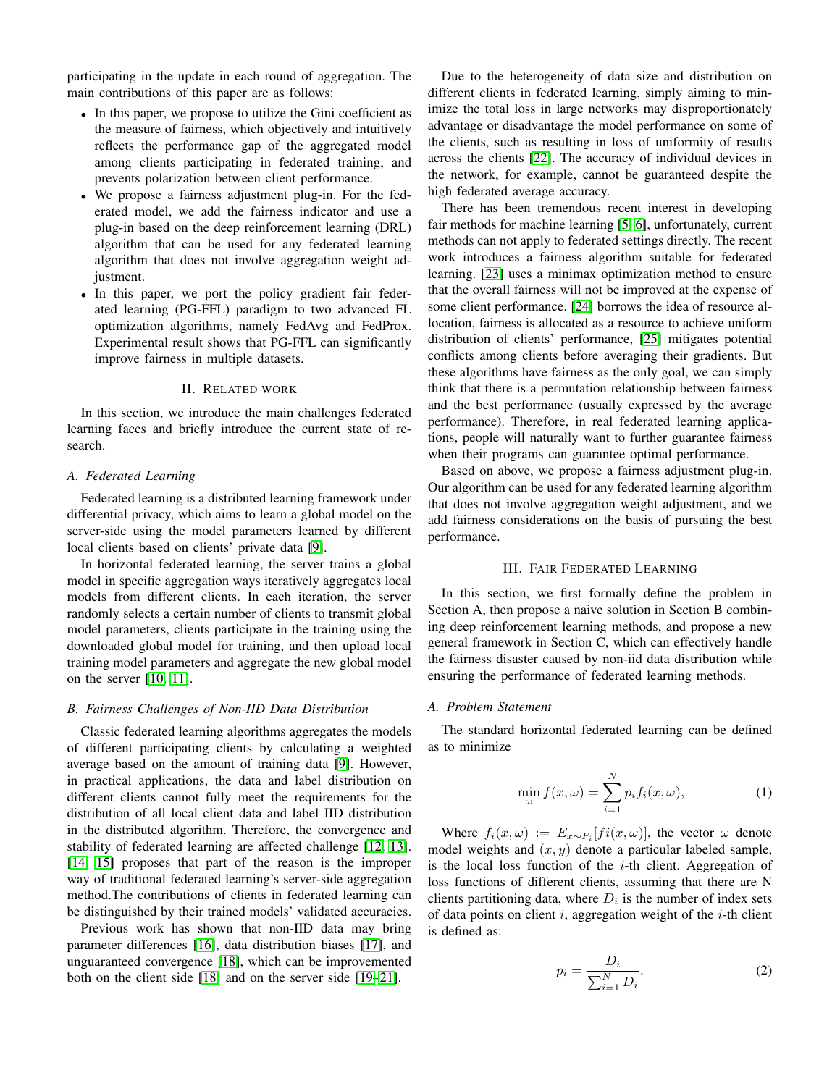participating in the update in each round of aggregation. The main contributions of this paper are as follows:

- In this paper, we propose to utilize the Gini coefficient as the measure of fairness, which objectively and intuitively reflects the performance gap of the aggregated model among clients participating in federated training, and prevents polarization between client performance.
- We propose a fairness adjustment plug-in. For the federated model, we add the fairness indicator and use a plug-in based on the deep reinforcement learning (DRL) algorithm that can be used for any federated learning algorithm that does not involve aggregation weight adjustment.
- In this paper, we port the policy gradient fair federated learning (PG-FFL) paradigm to two advanced FL optimization algorithms, namely FedAvg and FedProx. Experimental result shows that PG-FFL can significantly improve fairness in multiple datasets.

## II. RELATED WORK

In this section, we introduce the main challenges federated learning faces and briefly introduce the current state of research.

#### *A. Federated Learning*

Federated learning is a distributed learning framework under differential privacy, which aims to learn a global model on the server-side using the model parameters learned by different local clients based on clients' private data [\[9\]](#page-7-8).

In horizontal federated learning, the server trains a global model in specific aggregation ways iteratively aggregates local models from different clients. In each iteration, the server randomly selects a certain number of clients to transmit global model parameters, clients participate in the training using the downloaded global model for training, and then upload local training model parameters and aggregate the new global model on the server [\[10,](#page-7-9) [11\]](#page-7-10).

## *B. Fairness Challenges of Non-IID Data Distribution*

Classic federated learning algorithms aggregates the models of different participating clients by calculating a weighted average based on the amount of training data [\[9\]](#page-7-8). However, in practical applications, the data and label distribution on different clients cannot fully meet the requirements for the distribution of all local client data and label IID distribution in the distributed algorithm. Therefore, the convergence and stability of federated learning are affected challenge [\[12,](#page-7-11) [13\]](#page-7-12). [\[14,](#page-7-13) [15\]](#page-7-14) proposes that part of the reason is the improper way of traditional federated learning's server-side aggregation method.The contributions of clients in federated learning can be distinguished by their trained models' validated accuracies.

Previous work has shown that non-IID data may bring parameter differences [\[16\]](#page-7-15), data distribution biases [\[17\]](#page-7-16), and unguaranteed convergence [\[18\]](#page-7-17), which can be improvemented both on the client side [\[18\]](#page-7-17) and on the server side [\[19–](#page-7-18)[21\]](#page-7-19).

Due to the heterogeneity of data size and distribution on different clients in federated learning, simply aiming to minimize the total loss in large networks may disproportionately advantage or disadvantage the model performance on some of the clients, such as resulting in loss of uniformity of results across the clients [\[22\]](#page-7-20). The accuracy of individual devices in the network, for example, cannot be guaranteed despite the high federated average accuracy.

There has been tremendous recent interest in developing fair methods for machine learning [\[5,](#page-7-4) [6\]](#page-7-5), unfortunately, current methods can not apply to federated settings directly. The recent work introduces a fairness algorithm suitable for federated learning. [\[23\]](#page-7-21) uses a minimax optimization method to ensure that the overall fairness will not be improved at the expense of some client performance. [\[24\]](#page-7-22) borrows the idea of resource allocation, fairness is allocated as a resource to achieve uniform distribution of clients' performance, [\[25\]](#page-7-23) mitigates potential conflicts among clients before averaging their gradients. But these algorithms have fairness as the only goal, we can simply think that there is a permutation relationship between fairness and the best performance (usually expressed by the average performance). Therefore, in real federated learning applications, people will naturally want to further guarantee fairness when their programs can guarantee optimal performance.

Based on above, we propose a fairness adjustment plug-in. Our algorithm can be used for any federated learning algorithm that does not involve aggregation weight adjustment, and we add fairness considerations on the basis of pursuing the best performance.

#### III. FAIR FEDERATED LEARNING

In this section, we first formally define the problem in Section A, then propose a naive solution in Section B combining deep reinforcement learning methods, and propose a new general framework in Section C, which can effectively handle the fairness disaster caused by non-iid data distribution while ensuring the performance of federated learning methods.

#### *A. Problem Statement*

The standard horizontal federated learning can be defined as to minimize

$$
\min_{\omega} f(x, \omega) = \sum_{i=1}^{N} p_i f_i(x, \omega), \tag{1}
$$

Where  $f_i(x,\omega) := E_{x \sim P_i}[f_i(x,\omega)]$ , the vector  $\omega$  denote model weights and  $(x, y)$  denote a particular labeled sample, is the local loss function of the  $i$ -th client. Aggregation of loss functions of different clients, assuming that there are N clients partitioning data, where  $D_i$  is the number of index sets of data points on client i, aggregation weight of the  $i$ -th client is defined as:

$$
p_i = \frac{D_i}{\sum_{i=1}^{N} D_i}.\tag{2}
$$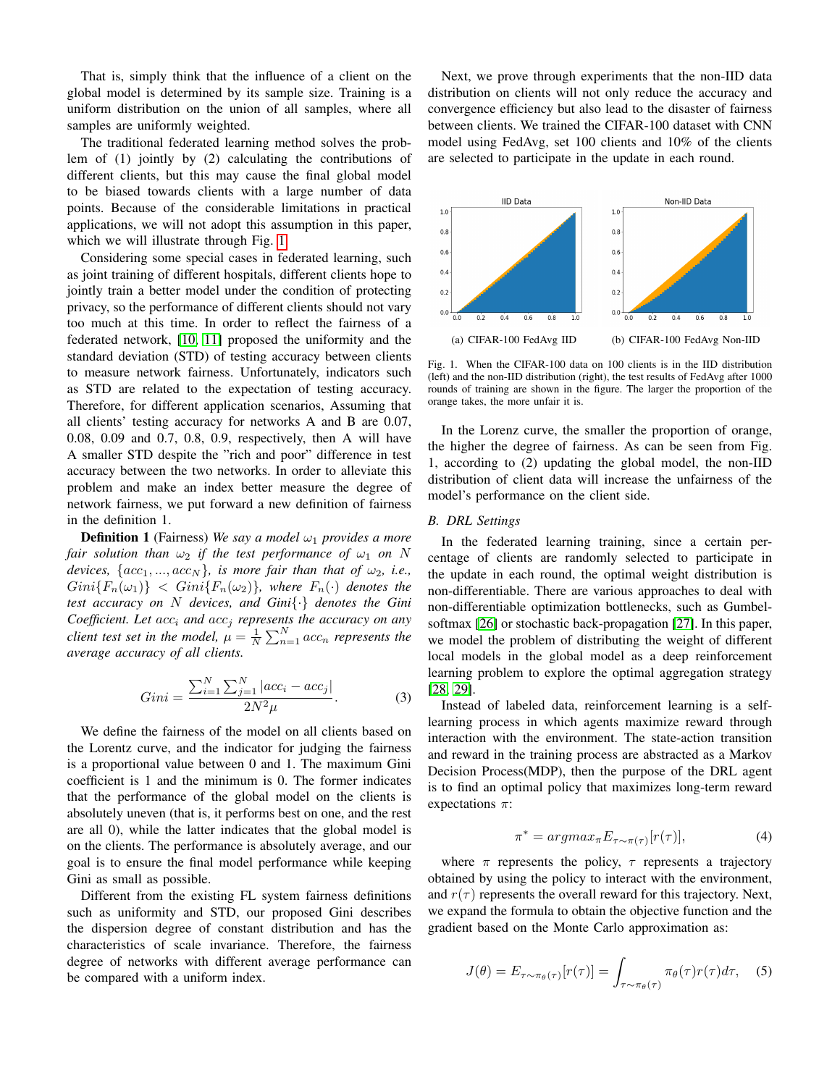That is, simply think that the influence of a client on the global model is determined by its sample size. Training is a uniform distribution on the union of all samples, where all samples are uniformly weighted.

The traditional federated learning method solves the problem of (1) jointly by (2) calculating the contributions of different clients, but this may cause the final global model to be biased towards clients with a large number of data points. Because of the considerable limitations in practical applications, we will not adopt this assumption in this paper, which we will illustrate through Fig. [1.](#page-2-0)

Considering some special cases in federated learning, such as joint training of different hospitals, different clients hope to jointly train a better model under the condition of protecting privacy, so the performance of different clients should not vary too much at this time. In order to reflect the fairness of a federated network, [\[10,](#page-7-9) [11\]](#page-7-10) proposed the uniformity and the standard deviation (STD) of testing accuracy between clients to measure network fairness. Unfortunately, indicators such as STD are related to the expectation of testing accuracy. Therefore, for different application scenarios, Assuming that all clients' testing accuracy for networks A and B are 0.07, 0.08, 0.09 and 0.7, 0.8, 0.9, respectively, then A will have A smaller STD despite the "rich and poor" difference in test accuracy between the two networks. In order to alleviate this problem and make an index better measure the degree of network fairness, we put forward a new definition of fairness in the definition 1.

**Definition 1** (Fairness) We say a model  $\omega_1$  provides a more *fair solution than*  $\omega_2$  *if the test performance of*  $\omega_1$  *on* N *devices,*  $\{acc_1, ..., acc_N\}$ *, is more fair than that of*  $\omega_2$ *, i.e.,*  $Gini{F_n(\omega_1)} < Gini{F_n(\omega_2)}$ , where  $F_n(\cdot)$  denotes the *test accuracy on* N *devices, and Gini*{*·*} *denotes the Gini Coefficient. Let*  $acc_i$  *and*  $acc_j$  *represents the accuracy on any client test set in the model,*  $\mu = \frac{1}{N} \sum_{n=1}^{N} acc_n$  *represents the average accuracy of all clients.*

$$
Gini = \frac{\sum_{i=1}^{N} \sum_{j=1}^{N} |acc_i - acc_j|}{2N^2 \mu}.
$$
 (3)

We define the fairness of the model on all clients based on the Lorentz curve, and the indicator for judging the fairness is a proportional value between 0 and 1. The maximum Gini coefficient is 1 and the minimum is 0. The former indicates that the performance of the global model on the clients is absolutely uneven (that is, it performs best on one, and the rest are all 0), while the latter indicates that the global model is on the clients. The performance is absolutely average, and our goal is to ensure the final model performance while keeping Gini as small as possible.

Different from the existing FL system fairness definitions such as uniformity and STD, our proposed Gini describes the dispersion degree of constant distribution and has the characteristics of scale invariance. Therefore, the fairness degree of networks with different average performance can be compared with a uniform index.

Next, we prove through experiments that the non-IID data distribution on clients will not only reduce the accuracy and convergence efficiency but also lead to the disaster of fairness between clients. We trained the CIFAR-100 dataset with CNN model using FedAvg, set 100 clients and 10% of the clients are selected to participate in the update in each round.



<span id="page-2-0"></span>Fig. 1. When the CIFAR-100 data on 100 clients is in the IID distribution (left) and the non-IID distribution (right), the test results of FedAvg after 1000 rounds of training are shown in the figure. The larger the proportion of the orange takes, the more unfair it is.

In the Lorenz curve, the smaller the proportion of orange, the higher the degree of fairness. As can be seen from Fig. 1, according to (2) updating the global model, the non-IID distribution of client data will increase the unfairness of the model's performance on the client side.

#### *B. DRL Settings*

In the federated learning training, since a certain percentage of clients are randomly selected to participate in the update in each round, the optimal weight distribution is non-differentiable. There are various approaches to deal with non-differentiable optimization bottlenecks, such as Gumbelsoftmax [\[26\]](#page-7-24) or stochastic back-propagation [\[27\]](#page-7-25). In this paper, we model the problem of distributing the weight of different local models in the global model as a deep reinforcement learning problem to explore the optimal aggregation strategy [\[28,](#page-7-26) [29\]](#page-7-27).

Instead of labeled data, reinforcement learning is a selflearning process in which agents maximize reward through interaction with the environment. The state-action transition and reward in the training process are abstracted as a Markov Decision Process(MDP), then the purpose of the DRL agent is to find an optimal policy that maximizes long-term reward expectations  $\pi$ :

$$
\pi^* = argmax_{\pi} E_{\tau \sim \pi(\tau)} [r(\tau)], \tag{4}
$$

where  $\pi$  represents the policy,  $\tau$  represents a trajectory obtained by using the policy to interact with the environment, and  $r(\tau)$  represents the overall reward for this trajectory. Next, we expand the formula to obtain the objective function and the gradient based on the Monte Carlo approximation as:

$$
J(\theta) = E_{\tau \sim \pi_{\theta}(\tau)}[r(\tau)] = \int_{\tau \sim \pi_{\theta}(\tau)} \pi_{\theta}(\tau)r(\tau)d\tau, \quad (5)
$$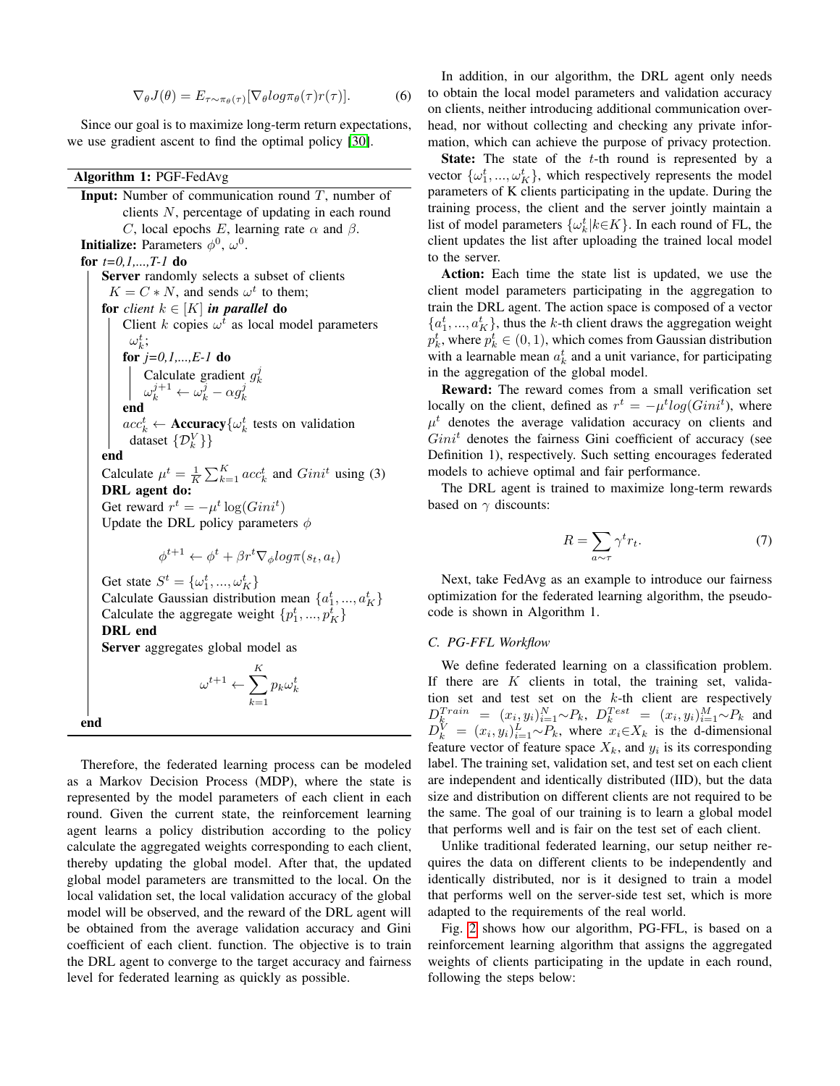$$
\nabla_{\theta} J(\theta) = E_{\tau \sim \pi_{\theta}(\tau)} [\nabla_{\theta} log \pi_{\theta}(\tau) r(\tau)]. \tag{6}
$$

Since our goal is to maximize long-term return expectations, we use gradient ascent to find the optimal policy [\[30\]](#page-7-28).

## Algorithm 1: PGF-FedAvg

**Input:** Number of communication round  $T$ , number of clients N, percentage of updating in each round C, local epochs E, learning rate  $\alpha$  and  $\beta$ . **Initialize:** Parameters  $\phi^0$ ,  $\omega^0$ . for *t=0,1,...,T-1* do Server randomly selects a subset of clients  $K = C * N$ , and sends  $\omega^t$  to them; for *client*  $k \in [K]$  *in parallel* do Client k copies  $\omega^t$  as local model parameters  $\omega_k^t$ ; for *j=0,1,...,E-1* do Calculate gradient  $g_k^j$ <br>  $\omega_k^{j+1} \leftarrow \omega_k^j - \alpha g_k^j$ end  $acc_k^t \leftarrow \text{Accuracy}\{\omega_k^t \text{ tests on validation}$ dataset  $\{\mathcal{D}_{k}^{V}\}\}\$ end Calculate  $\mu^t = \frac{1}{K} \sum_{k=1}^K acc_k^t$  and  $Gini^t$  using (3) DRL agent do: Get reward  $r^t = -\mu^t \log(Gini^t)$ Update the DRL policy parameters  $\phi$  $\phi^{t+1} \leftarrow \phi^t + \beta r^t \nabla_{\phi} log \pi(s_t, a_t)$ Get state  $S^t = {\omega_1^t, ..., \omega_K^t}$ Calculate Gaussian distribution mean  $\{a_1^t, ..., a_K^t\}$ Calculate the aggregate weight  $\{p_1^t, ..., p_K^t\}$ DRL end Server aggregates global model as  $\omega^{t+1} \leftarrow \sum^K$  $k=1$  $p_k\omega_k^t$ end

Therefore, the federated learning process can be modeled as a Markov Decision Process (MDP), where the state is represented by the model parameters of each client in each round. Given the current state, the reinforcement learning agent learns a policy distribution according to the policy calculate the aggregated weights corresponding to each client, thereby updating the global model. After that, the updated global model parameters are transmitted to the local. On the local validation set, the local validation accuracy of the global model will be observed, and the reward of the DRL agent will be obtained from the average validation accuracy and Gini coefficient of each client. function. The objective is to train the DRL agent to converge to the target accuracy and fairness level for federated learning as quickly as possible.

In addition, in our algorithm, the DRL agent only needs to obtain the local model parameters and validation accuracy on clients, neither introducing additional communication overhead, nor without collecting and checking any private information, which can achieve the purpose of privacy protection.

**State:** The state of the  $t$ -th round is represented by a vector  $\{\omega_1^t, ..., \omega_K^t\}$ , which respectively represents the model parameters of K clients participating in the update. During the training process, the client and the server jointly maintain a list of model parameters  $\{\omega_k^t | k \in K\}$ . In each round of FL, the client updates the list after uploading the trained local model to the server.

Action: Each time the state list is updated, we use the client model parameters participating in the aggregation to train the DRL agent. The action space is composed of a vector  ${a_1^t, ..., a_K^t}$ , thus the k-th client draws the aggregation weight  $p_k^t$ , where  $p_k^t \in (0,1)$ , which comes from Gaussian distribution with a learnable mean  $a_k^t$  and a unit variance, for participating in the aggregation of the global model.

Reward: The reward comes from a small verification set locally on the client, defined as  $r^t = -\mu^t log(Gini^t)$ , where  $\mu^t$  denotes the average validation accuracy on clients and  $Gini<sup>t</sup>$  denotes the fairness Gini coefficient of accuracy (see Definition 1), respectively. Such setting encourages federated models to achieve optimal and fair performance.

The DRL agent is trained to maximize long-term rewards based on  $\gamma$  discounts:

$$
R = \sum_{a \sim \tau} \gamma^t r_t. \tag{7}
$$

Next, take FedAvg as an example to introduce our fairness optimization for the federated learning algorithm, the pseudocode is shown in Algorithm 1.

## *C. PG-FFL Workflow*

We define federated learning on a classification problem. If there are  $K$  clients in total, the training set, validation set and test set on the  $k$ -th client are respectively  $D_{k}^{Train} = (x_i, y_i)_{i=1}^{N} \sim P_k$ ,  $D_{k}^{Test} = (x_i, y_i)_{i=1}^{M} \sim P_k$  and  $D_k^V = (x_i, y_i)_{i=1}^L \sim P_k$ , where  $x_i \in X_k$  is the d-dimensional feature vector of feature space  $X_k$ , and  $y_i$  is its corresponding label. The training set, validation set, and test set on each client are independent and identically distributed (IID), but the data size and distribution on different clients are not required to be the same. The goal of our training is to learn a global model that performs well and is fair on the test set of each client.

Unlike traditional federated learning, our setup neither requires the data on different clients to be independently and identically distributed, nor is it designed to train a model that performs well on the server-side test set, which is more adapted to the requirements of the real world.

Fig. [2](#page-4-0) shows how our algorithm, PG-FFL, is based on a reinforcement learning algorithm that assigns the aggregated weights of clients participating in the update in each round, following the steps below: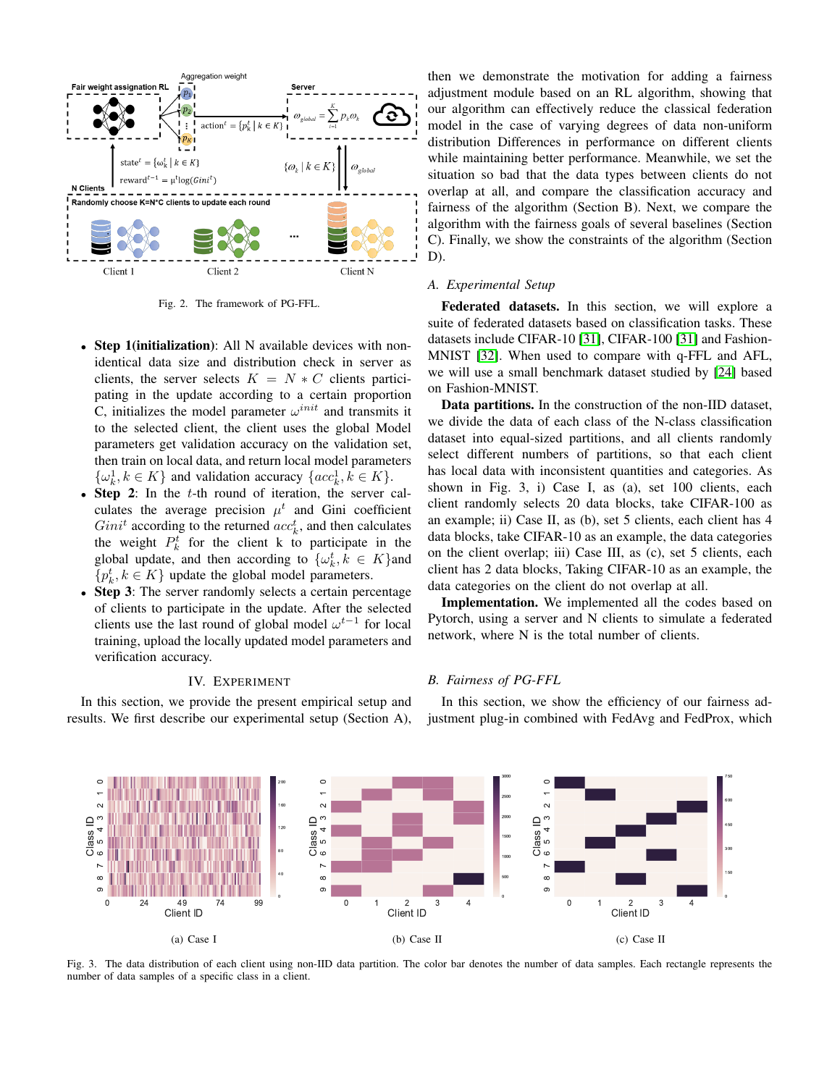

<span id="page-4-0"></span>Fig. 2. The framework of PG-FFL.

- Step 1(initialization): All N available devices with nonidentical data size and distribution check in server as clients, the server selects  $K = N * C$  clients participating in the update according to a certain proportion C, initializes the model parameter  $\omega^{init}$  and transmits it to the selected client, the client uses the global Model parameters get validation accuracy on the validation set, then train on local data, and return local model parameters  $\{\omega_k^1, k \in K\}$  and validation accuracy  $\{acc_k^1, k \in K\}.$
- Step 2: In the  $t$ -th round of iteration, the server calculates the average precision  $\mu^t$  and Gini coefficient  $Gini<sup>t</sup>$  according to the returned  $acc<sub>k</sub><sup>t</sup>$ , and then calculates the weight  $P_k^t$  for the client k to participate in the global update, and then according to  $\{\omega_k^t, k \in K\}$ and  $\{p_k^t, k \in K\}$  update the global model parameters.
- **Step 3:** The server randomly selects a certain percentage of clients to participate in the update. After the selected clients use the last round of global model  $\omega^{t-1}$  for local training, upload the locally updated model parameters and verification accuracy.

## IV. EXPERIMENT

In this section, we provide the present empirical setup and results. We first describe our experimental setup (Section A), then we demonstrate the motivation for adding a fairness adjustment module based on an RL algorithm, showing that our algorithm can effectively reduce the classical federation model in the case of varying degrees of data non-uniform distribution Differences in performance on different clients while maintaining better performance. Meanwhile, we set the situation so bad that the data types between clients do not overlap at all, and compare the classification accuracy and fairness of the algorithm (Section B). Next, we compare the algorithm with the fairness goals of several baselines (Section C). Finally, we show the constraints of the algorithm (Section D).

## *A. Experimental Setup*

Federated datasets. In this section, we will explore a suite of federated datasets based on classification tasks. These datasets include CIFAR-10 [\[31\]](#page-7-29), CIFAR-100 [\[31\]](#page-7-29) and Fashion-MNIST [\[32\]](#page-7-30). When used to compare with q-FFL and AFL, we will use a small benchmark dataset studied by [\[24\]](#page-7-22) based on Fashion-MNIST.

Data partitions. In the construction of the non-IID dataset, we divide the data of each class of the N-class classification dataset into equal-sized partitions, and all clients randomly select different numbers of partitions, so that each client has local data with inconsistent quantities and categories. As shown in Fig. 3, i) Case I, as (a), set 100 clients, each client randomly selects 20 data blocks, take CIFAR-100 as an example; ii) Case II, as (b), set 5 clients, each client has 4 data blocks, take CIFAR-10 as an example, the data categories on the client overlap; iii) Case III, as (c), set 5 clients, each client has 2 data blocks, Taking CIFAR-10 as an example, the data categories on the client do not overlap at all.

Implementation. We implemented all the codes based on Pytorch, using a server and N clients to simulate a federated network, where N is the total number of clients.

#### *B. Fairness of PG-FFL*

In this section, we show the efficiency of our fairness adjustment plug-in combined with FedAvg and FedProx, which



Fig. 3. The data distribution of each client using non-IID data partition. The color bar denotes the number of data samples. Each rectangle represents the number of data samples of a specific class in a client.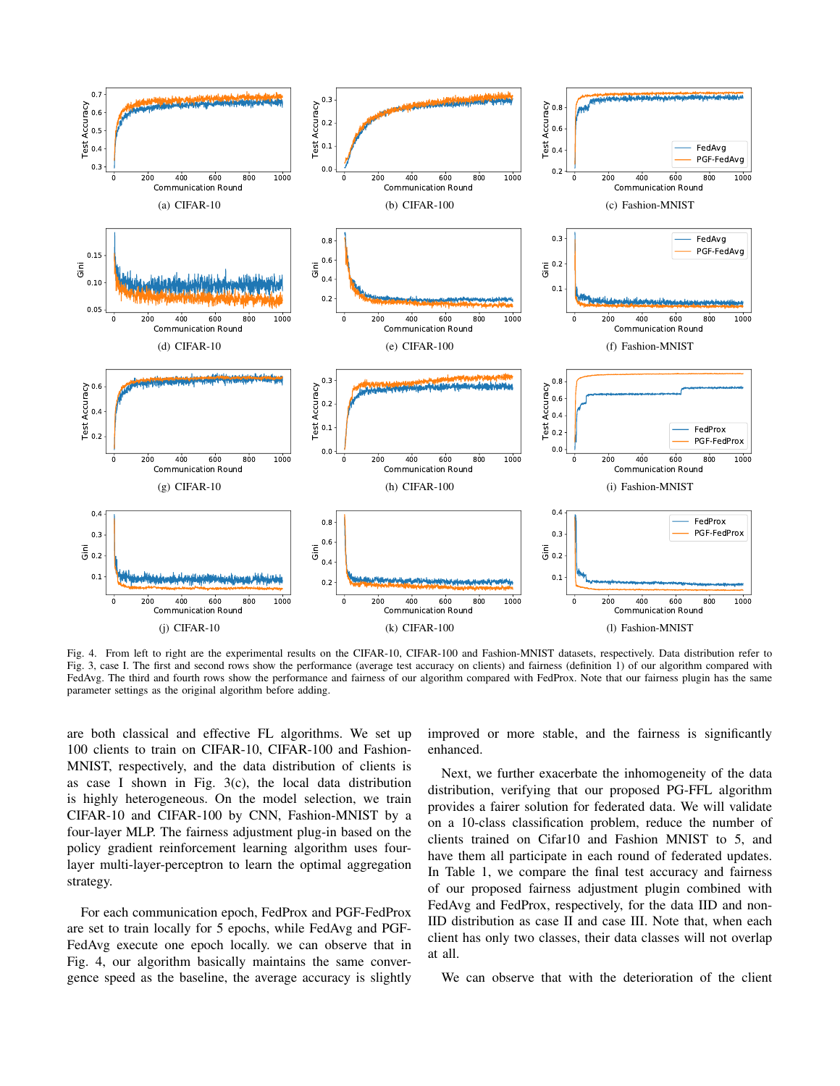

Fig. 4. From left to right are the experimental results on the CIFAR-10, CIFAR-100 and Fashion-MNIST datasets, respectively. Data distribution refer to Fig. 3, case I. The first and second rows show the performance (average test accuracy on clients) and fairness (definition 1) of our algorithm compared with FedAvg. The third and fourth rows show the performance and fairness of our algorithm compared with FedProx. Note that our fairness plugin has the same parameter settings as the original algorithm before adding.

are both classical and effective FL algorithms. We set up 100 clients to train on CIFAR-10, CIFAR-100 and Fashion-MNIST, respectively, and the data distribution of clients is as case I shown in Fig.  $3(c)$ , the local data distribution is highly heterogeneous. On the model selection, we train CIFAR-10 and CIFAR-100 by CNN, Fashion-MNIST by a four-layer MLP. The fairness adjustment plug-in based on the policy gradient reinforcement learning algorithm uses fourlayer multi-layer-perceptron to learn the optimal aggregation strategy.

For each communication epoch, FedProx and PGF-FedProx are set to train locally for 5 epochs, while FedAvg and PGF-FedAvg execute one epoch locally. we can observe that in Fig. 4, our algorithm basically maintains the same convergence speed as the baseline, the average accuracy is slightly improved or more stable, and the fairness is significantly enhanced.

Next, we further exacerbate the inhomogeneity of the data distribution, verifying that our proposed PG-FFL algorithm provides a fairer solution for federated data. We will validate on a 10-class classification problem, reduce the number of clients trained on Cifar10 and Fashion MNIST to 5, and have them all participate in each round of federated updates. In Table 1, we compare the final test accuracy and fairness of our proposed fairness adjustment plugin combined with FedAvg and FedProx, respectively, for the data IID and non-IID distribution as case II and case III. Note that, when each client has only two classes, their data classes will not overlap at all.

We can observe that with the deterioration of the client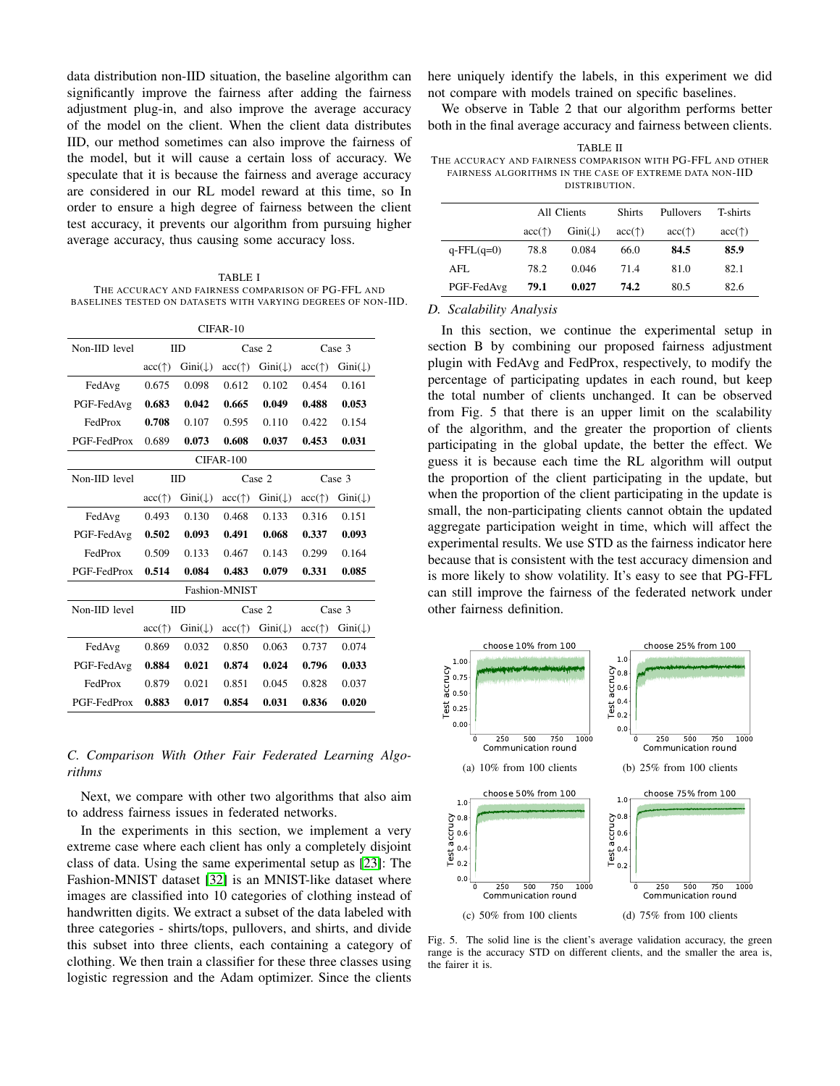data distribution non-IID situation, the baseline algorithm can significantly improve the fairness after adding the fairness adjustment plug-in, and also improve the average accuracy of the model on the client. When the client data distributes IID, our method sometimes can also improve the fairness of the model, but it will cause a certain loss of accuracy. We speculate that it is because the fairness and average accuracy are considered in our RL model reward at this time, so In order to ensure a high degree of fairness between the client test accuracy, it prevents our algorithm from pursuing higher average accuracy, thus causing some accuracy loss.

TABLE I THE ACCURACY AND FAIRNESS COMPARISON OF PG-FFL AND BASELINES TESTED ON DATASETS WITH VARYING DEGREES OF NON-IID.

| CIFAR-10      |                 |                    |                 |                    |                       |                    |  |  |  |  |
|---------------|-----------------|--------------------|-----------------|--------------------|-----------------------|--------------------|--|--|--|--|
| Non-IID level | IID             |                    | Case 2          |                    | Case 3                |                    |  |  |  |  |
|               | $acc(\uparrow)$ | $Gini(\downarrow)$ | $acc(\uparrow)$ | $Gini(\downarrow)$ | $acc($ $\uparrow$ $)$ | $Gini(\downarrow)$ |  |  |  |  |
| FedAvg        | 0.675           | 0.098              | 0.612           | 0.102              | 0.454                 | 0.161              |  |  |  |  |
| PGF-FedAvg    | 0.683           | 0.042              | 0.665           | 0.049              | 0.488                 | 0.053              |  |  |  |  |
| FedProx       | 0.708           | 0.107              | 0.595           | 0.110              | 0.422                 | 0.154              |  |  |  |  |
| PGF-FedProx   | 0.689           | 0.073              | 0.608           | 0.037              | 0.453                 | 0.031              |  |  |  |  |
| $CIFAR-100$   |                 |                    |                 |                    |                       |                    |  |  |  |  |
| Non-IID level | <b>IID</b>      |                    | Case 2          |                    | Case 3                |                    |  |  |  |  |
|               | $acc(\uparrow)$ | $Gini(\downarrow)$ | $acc(\uparrow)$ | $Gini(\downarrow)$ | $acc(\uparrow)$       | $Gini(\downarrow)$ |  |  |  |  |
| FedAvg        | 0.493           | 0.130              | 0.468           | 0.133              | 0.316                 | 0.151              |  |  |  |  |
| PGF-FedAvg    | 0.502           | 0.093              | 0.491           | 0.068              | 0.337                 | 0.093              |  |  |  |  |
| FedProx       | 0.509           | 0.133              | 0.467           | 0.143              | 0.299                 | 0.164              |  |  |  |  |
| PGF-FedProx   | 0.514           | 0.084              | 0.483           | 0.079              | 0.331                 | 0.085              |  |  |  |  |
| Fashion-MNIST |                 |                    |                 |                    |                       |                    |  |  |  |  |
| Non-IID level | IID             |                    | Case 2          |                    | Case 3                |                    |  |  |  |  |
|               | $acc(\uparrow)$ | $Gini(\downarrow)$ | $acc(\uparrow)$ | $Gini(\downarrow)$ | $acc(\uparrow)$       | $Gini(\downarrow)$ |  |  |  |  |
| FedAvg        | 0.869           | 0.032              | 0.850           | 0.063              | 0.737                 | 0.074              |  |  |  |  |
| PGF-FedAvg    | 0.884           | 0.021              | 0.874           | 0.024              | 0.796                 | 0.033              |  |  |  |  |
| FedProx       | 0.879           | 0.021              | 0.851           | 0.045              | 0.828                 | 0.037              |  |  |  |  |
| PGF-FedProx   | 0.883           | 0.017              | 0.854           | 0.031              | 0.836                 | 0.020              |  |  |  |  |

## *C. Comparison With Other Fair Federated Learning Algorithms*

Next, we compare with other two algorithms that also aim to address fairness issues in federated networks.

In the experiments in this section, we implement a very extreme case where each client has only a completely disjoint class of data. Using the same experimental setup as [\[23\]](#page-7-21): The Fashion-MNIST dataset [\[32\]](#page-7-30) is an MNIST-like dataset where images are classified into 10 categories of clothing instead of handwritten digits. We extract a subset of the data labeled with three categories - shirts/tops, pullovers, and shirts, and divide this subset into three clients, each containing a category of clothing. We then train a classifier for these three classes using logistic regression and the Adam optimizer. Since the clients

here uniquely identify the labels, in this experiment we did not compare with models trained on specific baselines.

We observe in Table 2 that our algorithm performs better both in the final average accuracy and fairness between clients.

| TABLE II                                                   |
|------------------------------------------------------------|
| The accuracy and fairness comparison with PG-FFL and other |
| FAIRNESS ALGORITHMS IN THE CASE OF EXTREME DATA NON-IID    |
| DISTRIBUTION.                                              |
|                                                            |

|                  | All Clients |                    | <b>Shirts</b>         | Pullovers             | T-shirts              |
|------------------|-------------|--------------------|-----------------------|-----------------------|-----------------------|
|                  | acc(†)      | $Gini(\downarrow)$ | $acc($ $\uparrow$ $)$ | $acc($ $\uparrow$ $)$ | $acc($ $\uparrow$ $)$ |
| $q$ -FFL $(q=0)$ | 78.8        | 0.084              | 66.0                  | 84.5                  | 85.9                  |
| AFL              | 78.2        | 0.046              | 71.4                  | 81.0                  | 82.1                  |
| PGF-FedAvg       | 79.1        | 0.027              | 74.2                  | 80.5                  | 82.6                  |

#### *D. Scalability Analysis*

In this section, we continue the experimental setup in section B by combining our proposed fairness adjustment plugin with FedAvg and FedProx, respectively, to modify the percentage of participating updates in each round, but keep the total number of clients unchanged. It can be observed from Fig. 5 that there is an upper limit on the scalability of the algorithm, and the greater the proportion of clients participating in the global update, the better the effect. We guess it is because each time the RL algorithm will output the proportion of the client participating in the update, but when the proportion of the client participating in the update is small, the non-participating clients cannot obtain the updated aggregate participation weight in time, which will affect the experimental results. We use STD as the fairness indicator here because that is consistent with the test accuracy dimension and is more likely to show volatility. It's easy to see that PG-FFL can still improve the fairness of the federated network under other fairness definition.



Fig. 5. The solid line is the client's average validation accuracy, the green range is the accuracy STD on different clients, and the smaller the area is, the fairer it is.